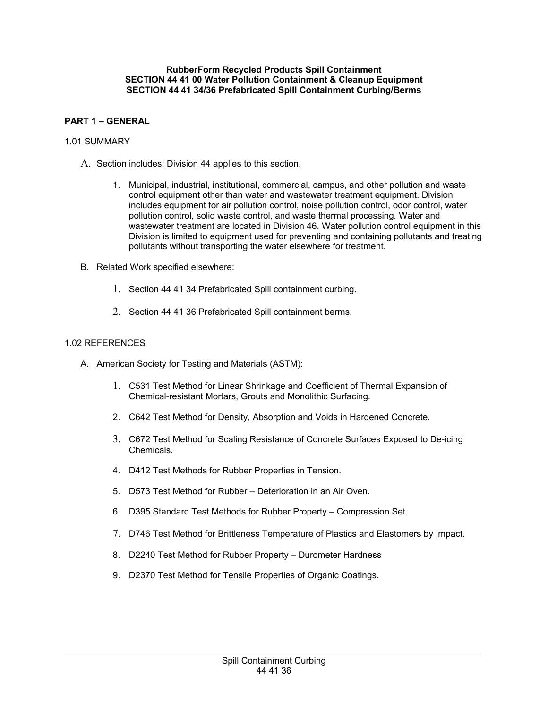#### **RubberForm Recycled Products Spill Containment SECTION 44 41 00 Water Pollution Containment & Cleanup Equipment SECTION 44 41 34/36 Prefabricated Spill Containment Curbing/Berms**

# **PART 1 – GENERAL**

#### 1.01 SUMMARY

- A. Section includes: Division 44 applies to this section.
	- 1. Municipal, industrial, institutional, commercial, campus, and other pollution and waste control equipment other than water and wastewater treatment equipment. Division includes equipment for air pollution control, noise pollution control, odor control, water pollution control, solid waste control, and waste thermal processing. Water and wastewater treatment are located in Division 46. Water pollution control equipment in this Division is limited to equipment used for preventing and containing pollutants and treating pollutants without transporting the water elsewhere for treatment.
- B. Related Work specified elsewhere:
	- 1. Section 44 41 34 Prefabricated Spill containment curbing.
	- 2. Section 44 41 36 Prefabricated Spill containment berms.

#### 1.02 REFERENCES

- A. American Society for Testing and Materials (ASTM):
	- 1. C531 Test Method for Linear Shrinkage and Coefficient of Thermal Expansion of Chemical-resistant Mortars, Grouts and Monolithic Surfacing.
	- 2. C642 Test Method for Density, Absorption and Voids in Hardened Concrete.
	- 3. C672 Test Method for Scaling Resistance of Concrete Surfaces Exposed to De-icing Chemicals.
	- 4. D412 Test Methods for Rubber Properties in Tension.
	- 5. D573 Test Method for Rubber Deterioration in an Air Oven.
	- 6. D395 Standard Test Methods for Rubber Property Compression Set.
	- 7. D746 Test Method for Brittleness Temperature of Plastics and Elastomers by Impact.
	- 8. D2240 Test Method for Rubber Property Durometer Hardness
	- 9. D2370 Test Method for Tensile Properties of Organic Coatings.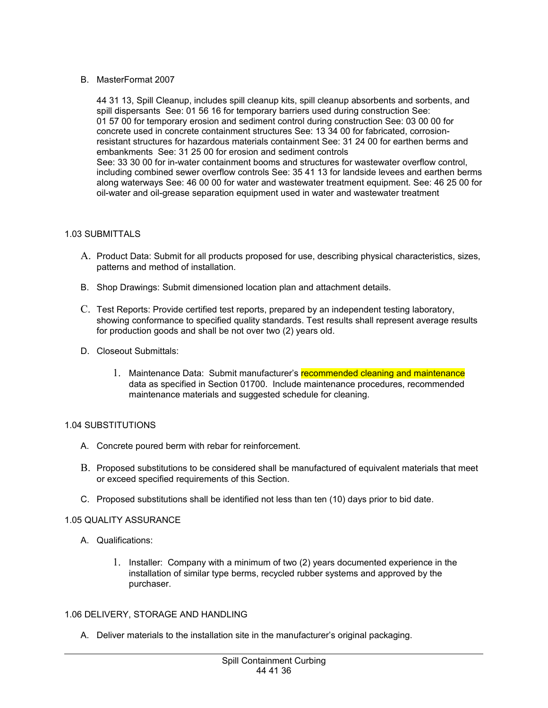# B. MasterFormat 2007

44 31 13, Spill Cleanup, includes spill cleanup kits, spill cleanup absorbents and sorbents, and spill dispersants See: 01 56 16 for temporary barriers used during construction See: 01 57 00 for temporary erosion and sediment control during construction See: 03 00 00 for concrete used in concrete containment structures See: 13 34 00 for fabricated, corrosionresistant structures for hazardous materials containment See: 31 24 00 for earthen berms and embankments See: 31 25 00 for erosion and sediment controls See: 33 30 00 for in-water containment booms and structures for wastewater overflow control, including combined sewer overflow controls See: 35 41 13 for landside levees and earthen berms along waterways See: 46 00 00 for water and wastewater treatment equipment. See: 46 25 00 for oil-water and oil-grease separation equipment used in water and wastewater treatment

## 1.03 SUBMITTALS

- A. Product Data: Submit for all products proposed for use, describing physical characteristics, sizes, patterns and method of installation.
- B. Shop Drawings: Submit dimensioned location plan and attachment details.
- C. Test Reports: Provide certified test reports, prepared by an independent testing laboratory, showing conformance to specified quality standards. Test results shall represent average results for production goods and shall be not over two (2) years old.
- D. Closeout Submittals:
	- 1. Maintenance Data: Submit manufacturer's recommended cleaning and maintenance data as specified in Section 01700. Include maintenance procedures, recommended maintenance materials and suggested schedule for cleaning.

## 1.04 SUBSTITUTIONS

- A. Concrete poured berm with rebar for reinforcement.
- B. Proposed substitutions to be considered shall be manufactured of equivalent materials that meet or exceed specified requirements of this Section.
- C. Proposed substitutions shall be identified not less than ten (10) days prior to bid date.

## 1.05 QUALITY ASSURANCE

- A. Qualifications:
	- 1. Installer: Company with a minimum of two (2) years documented experience in the installation of similar type berms, recycled rubber systems and approved by the purchaser.

# 1.06 DELIVERY, STORAGE AND HANDLING

A. Deliver materials to the installation site in the manufacturer's original packaging.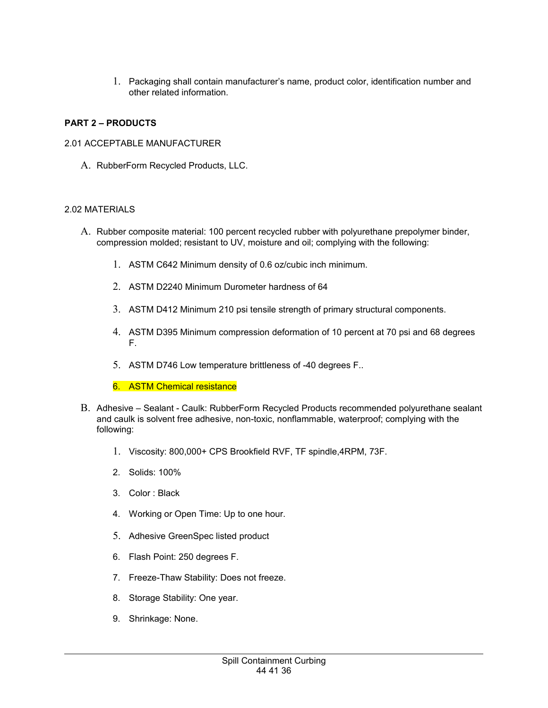1. Packaging shall contain manufacturer's name, product color, identification number and other related information.

# **PART 2 – PRODUCTS**

# 2.01 ACCEPTABLE MANUFACTURER

A. RubberForm Recycled Products, LLC.

# 2.02 MATERIALS

- A. Rubber composite material: 100 percent recycled rubber with polyurethane prepolymer binder, compression molded; resistant to UV, moisture and oil; complying with the following:
	- 1. ASTM C642 Minimum density of 0.6 oz/cubic inch minimum.
	- 2. ASTM D2240 Minimum Durometer hardness of 64
	- 3. ASTM D412 Minimum 210 psi tensile strength of primary structural components.
	- 4. ASTM D395 Minimum compression deformation of 10 percent at 70 psi and 68 degrees F.
	- 5. ASTM D746 Low temperature brittleness of -40 degrees F..
	- 6. ASTM Chemical resistance
- B. Adhesive Sealant Caulk: RubberForm Recycled Products recommended polyurethane sealant and caulk is solvent free adhesive, non-toxic, nonflammable, waterproof; complying with the following:
	- 1. Viscosity: 800,000+ CPS Brookfield RVF, TF spindle,4RPM, 73F.
	- 2. Solids: 100%
	- 3. Color : Black
	- 4. Working or Open Time: Up to one hour.
	- 5. Adhesive GreenSpec listed product
	- 6. Flash Point: 250 degrees F.
	- 7. Freeze-Thaw Stability: Does not freeze.
	- 8. Storage Stability: One year.
	- 9. Shrinkage: None.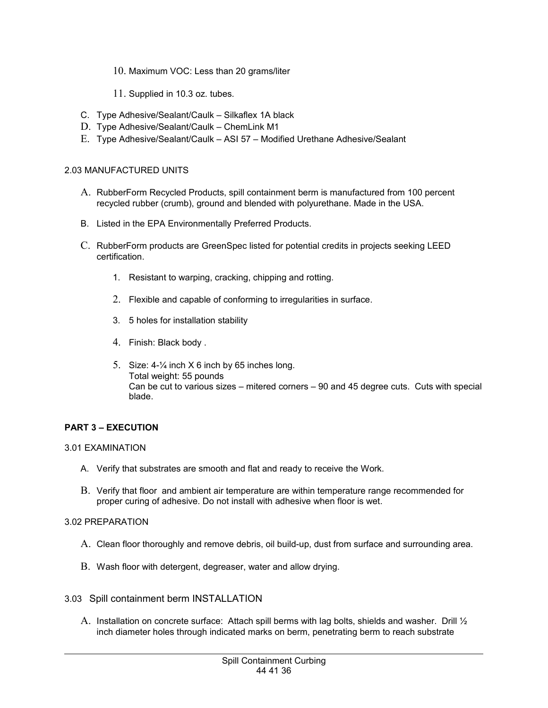- 10. Maximum VOC: Less than 20 grams/liter
- 11. Supplied in 10.3 oz. tubes.
- C. Type Adhesive/Sealant/Caulk Silkaflex 1A black
- D. Type Adhesive/Sealant/Caulk ChemLink M1
- E. Type Adhesive/Sealant/Caulk ASI 57 Modified Urethane Adhesive/Sealant

### 2.03 MANUFACTURED UNITS

- A. RubberForm Recycled Products, spill containment berm is manufactured from 100 percent recycled rubber (crumb), ground and blended with polyurethane. Made in the USA.
- B. Listed in the EPA Environmentally Preferred Products.
- C. RubberForm products are GreenSpec listed for potential credits in projects seeking LEED certification.
	- 1. Resistant to warping, cracking, chipping and rotting.
	- 2. Flexible and capable of conforming to irregularities in surface.
	- 3. 5 holes for installation stability
	- 4. Finish: Black body .
	- 5. Size: 4-¼ inch X 6 inch by 65 inches long. Total weight: 55 pounds Can be cut to various sizes – mitered corners – 90 and 45 degree cuts. Cuts with special blade.

## **PART 3 – EXECUTION**

#### 3.01 EXAMINATION

- A. Verify that substrates are smooth and flat and ready to receive the Work.
- B. Verify that floor and ambient air temperature are within temperature range recommended for proper curing of adhesive. Do not install with adhesive when floor is wet.

### 3.02 PREPARATION

- A. Clean floor thoroughly and remove debris, oil build-up, dust from surface and surrounding area.
- B. Wash floor with detergent, degreaser, water and allow drying.
- 3.03 Spill containment berm INSTALLATION
	- A. Installation on concrete surface: Attach spill berms with lag bolts, shields and washer. Drill  $\frac{1}{2}$ inch diameter holes through indicated marks on berm, penetrating berm to reach substrate